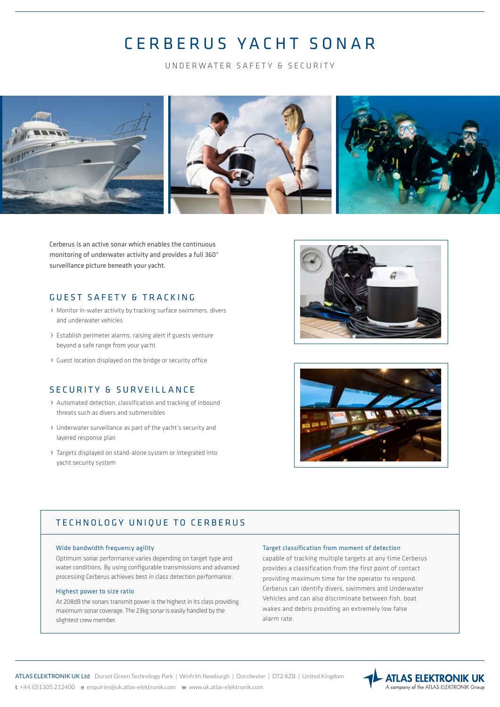# CERBERUS YACHT SONAR

UNDERWATER SAFETY & SECURITY



Cerberus is an active sonar which enables the continuous monitoring of underwater activity and provides a full 360° surveillance picture beneath your yacht.

### GUEST SAFETY & TRACKING

- › Monitor in-water activity by tracking surface swimmers, divers and underwater vehicles
- › Establish perimeter alarms, raising alert if guests venture beyond a safe range from your yacht
- › Guest location displayed on the bridge or security office

# SECURITY & SURVEILLANCE

- › Automated detection, classification and tracking of inbound threats such as divers and submersibles
- › Underwater surveillance as part of the yacht's security and layered response plan
- › Targets displayed on stand-alone system or integrated into yacht security system





### TECHNOLOGY UNIQUE TO CERBERUS

#### Wide bandwidth frequency agility

Optimum sonar performance varies depending on target type and water conditions. By using configurable transmissions and advanced processing Cerberus achieves best in class detection performance.

#### Highest power to size ratio

At 208dB the sonars transmit power is the highest in its class providing maximum sonar coverage. The 23kg sonar is easily handled by the slightest crew member.

#### Target classification from moment of detection

capable of tracking multiple targets at any time Cerberus provides a classification from the first point of contact providing maximum time for the operator to respond. Cerberus can identify divers, swimmers and Underwater Vehicles and can also discriminate between fish, boat wakes and debris providing an extremely low false alarm rate.